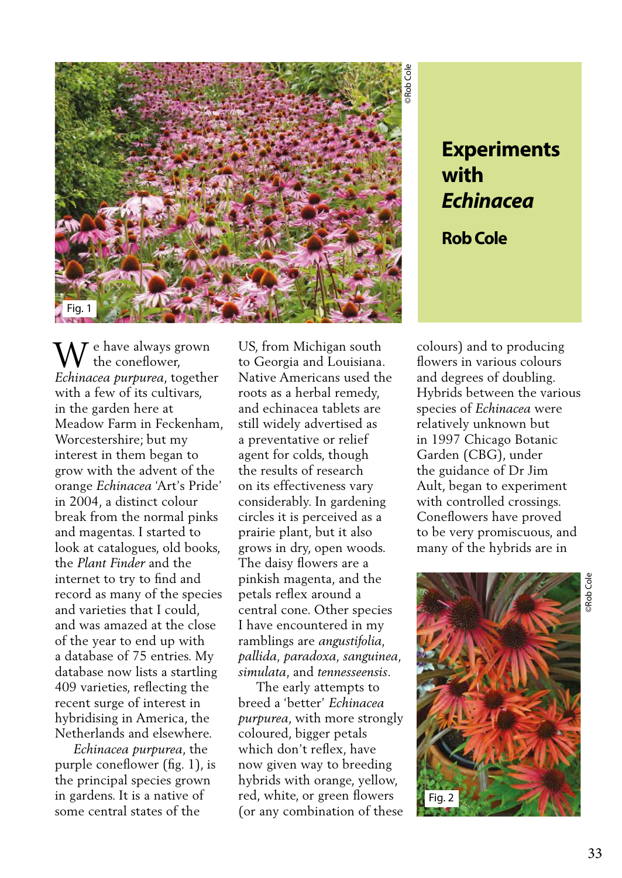

## **with**  *Echinacea*

**Rob Cole** 

 $\tau$  e have always grown the coneflower, **W** the coneflower,<br>*Echinacea purpurea*, together with a few of its cultivars, in the garden here at Meadow Farm in Feckenham, Worcestershire; but my interest in them began to grow with the advent of the orange *Echinacea* 'Art's Pride' in 2004, a distinct colour break from the normal pinks and magentas. I started to look at catalogues, old books, the *Plant Finder* and the internet to try to find and record as many of the species and varieties that I could, and was amazed at the close of the year to end up with a database of 75 entries. My database now lists a startling 409 varieties, reflecting the recent surge of interest in hybridising in America, the Netherlands and elsewhere.

 *Echinacea purpurea*, the purple coneflower (fig. 1), is the principal species grown in gardens. It is a native of some central states of the

US, from Michigan south to Georgia and Louisiana. Native Americans used the roots as a herbal remedy, and echinacea tablets are still widely advertised as a preventative or relief agent for colds, though the results of research on its effectiveness vary considerably. In gardening circles it is perceived as a prairie plant, but it also grows in dry, open woods. The daisy flowers are a pinkish magenta, and the petals reflex around a central cone. Other species I have encountered in my ramblings are *angustifolia, pallida, paradoxa, sanguinea, simulata*, and *tennesseensis*.

 The early attempts to breed a 'better' *Echinacea purpurea*, with more strongly coloured, bigger petals which don't reflex, have now given way to breeding hybrids with orange, yellow, red, white, or green flowers (or any combination of these

colours) and to producing flowers in various colours and degrees of doubling. Hybrids between the various species of *Echinacea* were relatively unknown but in 1997 Chicago Botanic Garden (CBG), under the guidance of Dr Jim Ault, began to experiment with controlled crossings. Coneflowers have proved to be very promiscuous, and many of the hybrids are in

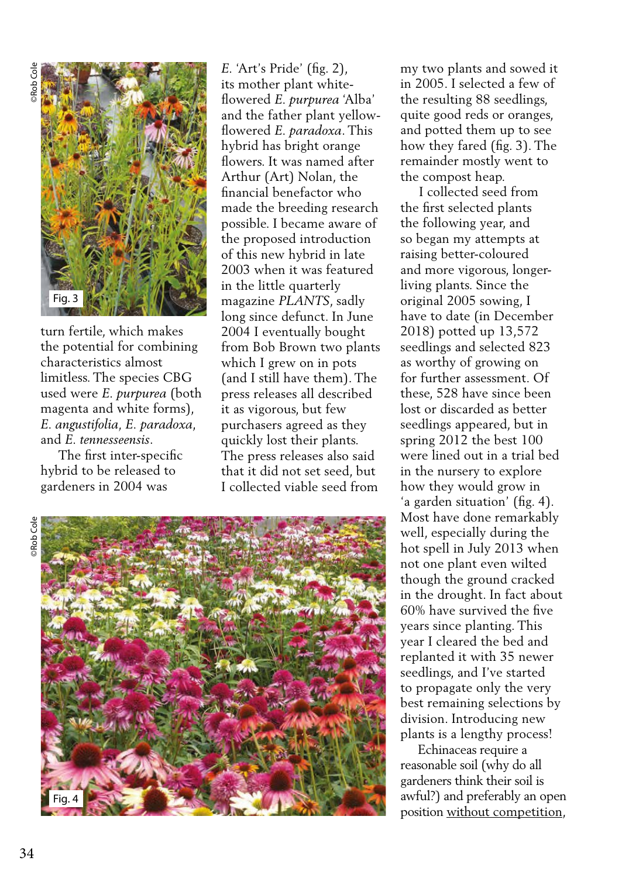

turn fertile, which makes the potential for combining characteristics almost limitless. The species CBG used were *E. purpurea* (both magenta and white forms), *E. angustifolia, E. paradoxa*, and *E. tennesseensis*.

 The first inter-specific hybrid to be released to gardeners in 2004 was

*E.* 'Art's Pride' (fig. 2), its mother plant whiteflowered *E. purpurea* 'Alba' and the father plant yellowflowered *E. paradoxa*. This hybrid has bright orange flowers. It was named after Arthur (Art) Nolan, the financial benefactor who made the breeding research possible. I became aware of the proposed introduction of this new hybrid in late 2003 when it was featured in the little quarterly magazine *PLANTS*, sadly long since defunct. In June 2004 I eventually bought from Bob Brown two plants which I grew on in pots (and I still have them). The press releases all described it as vigorous, but few purchasers agreed as they quickly lost their plants. The press releases also said that it did not set seed, but I collected viable seed from

**Rob** Cole



my two plants and sowed it in 2005. I selected a few of the resulting 88 seedlings, quite good reds or oranges, and potted them up to see how they fared (fig. 3). The remainder mostly went to the compost heap.

 I collected seed from the first selected plants the following year, and so began my attempts at raising better-coloured and more vigorous, longerliving plants. Since the original 2005 sowing, I have to date (in December 2018) potted up 13,572 seedlings and selected 823 as worthy of growing on for further assessment. Of these, 528 have since been lost or discarded as better seedlings appeared, but in spring 2012 the best 100 were lined out in a trial bed in the nursery to explore how they would grow in 'a garden situation' (fig. 4). Most have done remarkably well, especially during the hot spell in July 2013 when not one plant even wilted though the ground cracked in the drought. In fact about 60% have survived the five years since planting. This year I cleared the bed and replanted it with 35 newer seedlings, and I've started to propagate only the very best remaining selections by division. Introducing new plants is a lengthy process!

 Echinaceas require a reasonable soil (why do all gardeners think their soil is awful?) and preferably an open position without competition,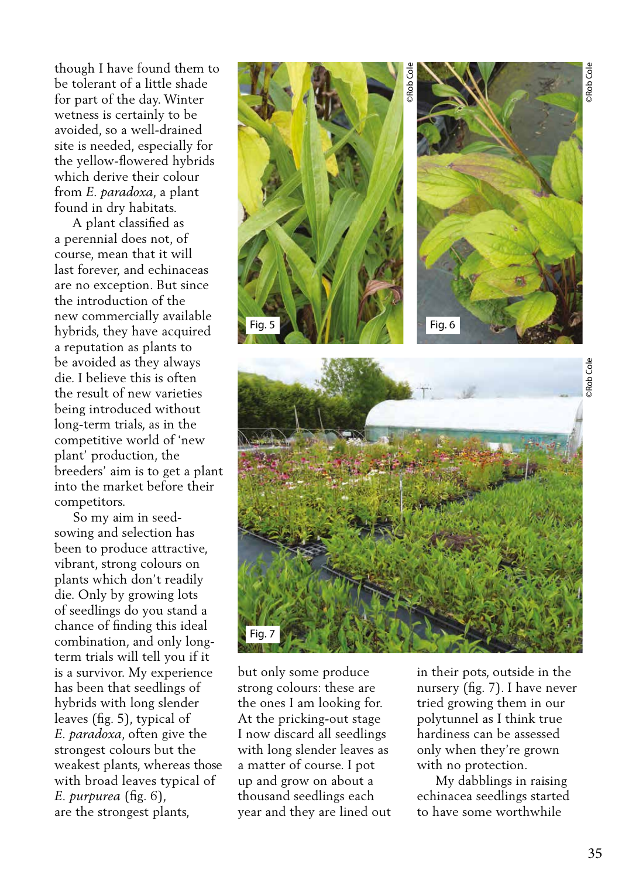though I have found them to be tolerant of a little shade for part of the day. Winter wetness is certainly to be avoided, so a well-drained site is needed, especially for the yellow-flowered hybrids which derive their colour from *E. paradoxa*, a plant found in dry habitats.

 A plant classified as a perennial does not, of course, mean that it will last forever, and echinaceas are no exception. But since the introduction of the new commercially available hybrids, they have acquired a reputation as plants to be avoided as they always die. I believe this is often the result of new varieties being introduced without long-term trials, as in the competitive world of 'new plant' production, the breeders' aim is to get a plant into the market before their competitors.

 So my aim in seedsowing and selection has been to produce attractive, vibrant, strong colours on plants which don't readily die. Only by growing lots of seedlings do you stand a chance of finding this ideal combination, and only longterm trials will tell you if it is a survivor. My experience has been that seedlings of hybrids with long slender leaves (fig. 5), typical of *E. paradoxa*, often give the strongest colours but the weakest plants, whereas those with broad leaves typical of *E. purpurea* (fig. 6), are the strongest plants,



but only some produce strong colours: these are the ones I am looking for. At the pricking-out stage I now discard all seedlings with long slender leaves as a matter of course. I pot up and grow on about a thousand seedlings each year and they are lined out in their pots, outside in the nursery (fig. 7). I have never tried growing them in our polytunnel as I think true hardiness can be assessed only when they're grown with no protection.

 My dabblings in raising echinacea seedlings started to have some worthwhile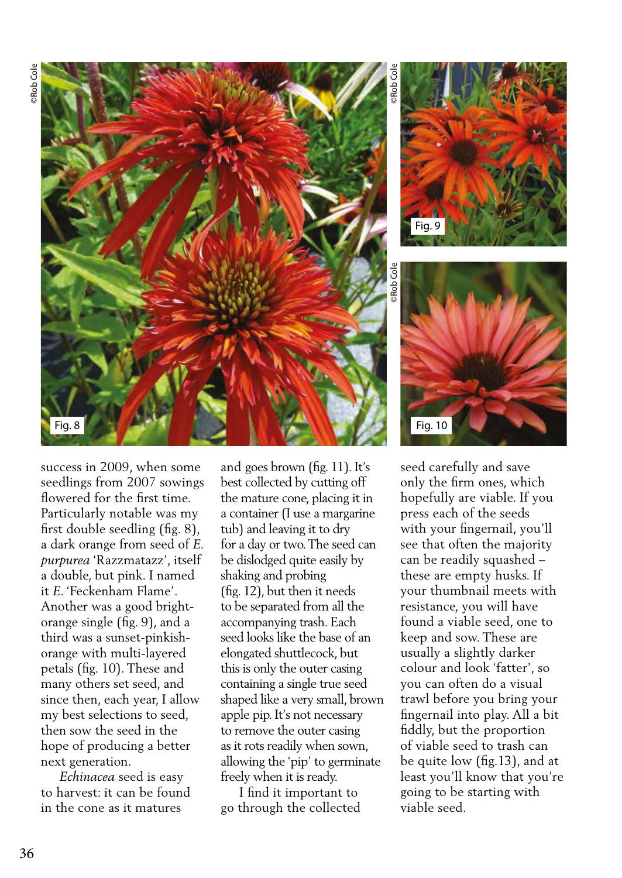

©Rob Cole ©Rob Cole Fig. 9



success in 2009, when some seedlings from 2007 sowings flowered for the first time. Particularly notable was my first double seedling (fig. 8), a dark orange from seed of *E. purpurea* 'Razzmatazz', itself a double, but pink. I named it *E*. 'Feckenham Flame'. Another was a good brightorange single (fig. 9), and a third was a sunset-pinkishorange with multi-layered petals (fig. 10). These and many others set seed, and since then, each year, I allow my best selections to seed, then sow the seed in the hope of producing a better next generation.

 *Echinacea* seed is easy to harvest: it can be found in the cone as it matures

and goes brown (fig. 11). It's best collected by cutting off the mature cone, placing it in a container (I use a margarine tub) and leaving it to dry for a day or two. The seed can be dislodged quite easily by shaking and probing (fig. 12), but then it needs to be separated from all the accompanying trash. Each seed looks like the base of an elongated shuttlecock, but this is only the outer casing containing a single true seed shaped like a very small, brown apple pip. It's not necessary to remove the outer casing as it rots readily when sown, allowing the 'pip' to germinate freely when it is ready.

 I find it important to go through the collected seed carefully and save only the firm ones, which hopefully are viable. If you press each of the seeds with your fingernail, you'll see that often the majority can be readily squashed – these are empty husks. If your thumbnail meets with resistance, you will have found a viable seed, one to keep and sow. These are usually a slightly darker colour and look 'fatter', so you can often do a visual trawl before you bring your fingernail into play. All a bit fiddly, but the proportion of viable seed to trash can be quite low (fig.13), and at least you'll know that you're going to be starting with viable seed.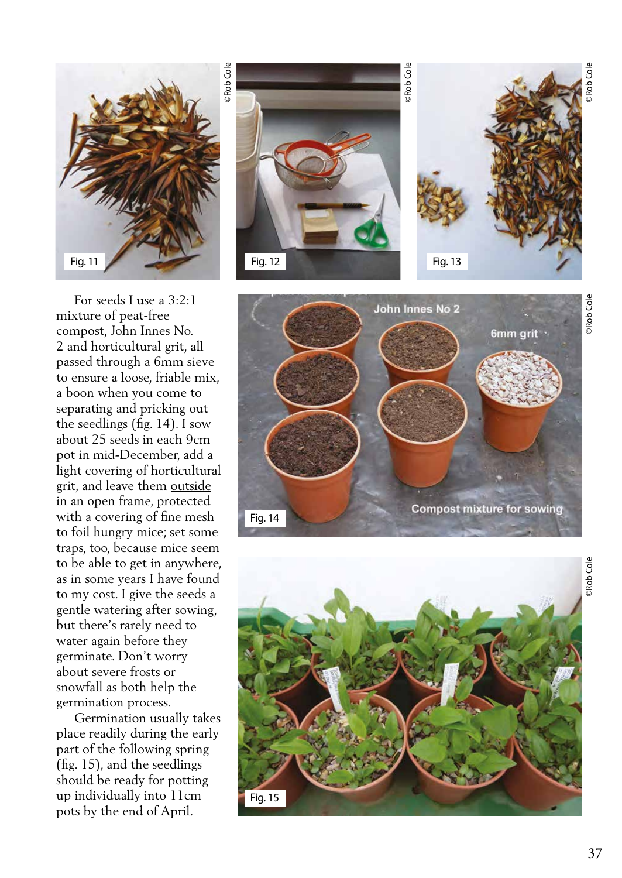

 For seeds I use a 3:2:1 mixture of peat-free compost, John Innes No. 2 and horticultural grit, all passed through a 6mm sieve to ensure a loose, friable mix, a boon when you come to separating and pricking out the seedlings (fig. 14). I sow about 25 seeds in each 9cm pot in mid-December, add a light covering of horticultural grit, and leave them outside in an open frame, protected with a covering of fine mesh to foil hungry mice; set some traps, too, because mice seem to be able to get in anywhere, as in some years I have found to my cost. I give the seeds a gentle watering after sowing, but there's rarely need to water again before they germinate. Don't worry about severe frosts or snowfall as both help the germination process.

 Germination usually takes place readily during the early part of the following spring (fig. 15), and the seedlings should be ready for potting up individually into 11cm pots by the end of April.





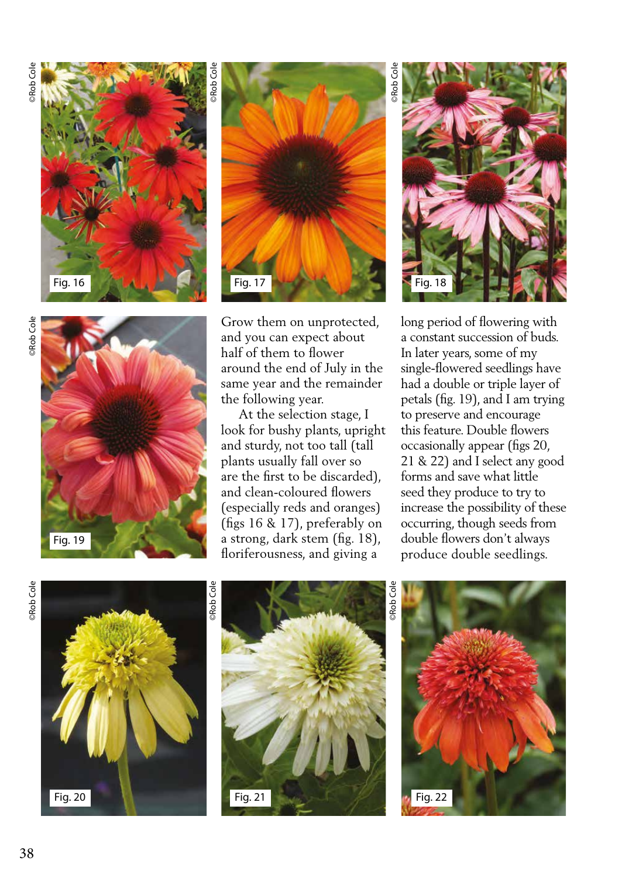





Grow them on unprotected, and you can expect about half of them to flower around the end of July in the same year and the remainder the following year.

 At the selection stage, I look for bushy plants, upright and sturdy, not too tall (tall plants usually fall over so are the first to be discarded), and clean-coloured flowers (especially reds and oranges) (figs 16 & 17), preferably on a strong, dark stem (fig. 18), floriferousness, and giving a

©Rob Cole

Rob Cole

long period of flowering with a constant succession of buds. In later years, some of my single-flowered seedlings have had a double or triple layer of petals (fig. 19), and I am trying to preserve and encourage this feature. Double flowers occasionally appear (figs 20, 21 & 22) and I select any good forms and save what little seed they produce to try to increase the possibility of these occurring, though seeds from double flowers don't always produce double seedlings.